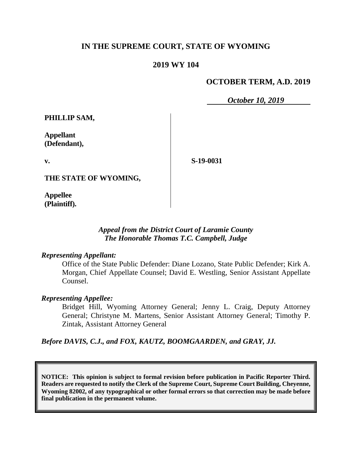# **IN THE SUPREME COURT, STATE OF WYOMING**

# **2019 WY 104**

# **OCTOBER TERM, A.D. 2019**

*October 10, 2019*

**PHILLIP SAM,**

**Appellant (Defendant),**

**v.**

**S-19-0031**

**THE STATE OF WYOMING,** 

**Appellee (Plaintiff).**

#### *Appeal from the District Court of Laramie County The Honorable Thomas T.C. Campbell, Judge*

#### *Representing Appellant:*

Office of the State Public Defender: Diane Lozano, State Public Defender; Kirk A. Morgan, Chief Appellate Counsel; David E. Westling, Senior Assistant Appellate Counsel.

### *Representing Appellee:*

Bridget Hill, Wyoming Attorney General; Jenny L. Craig, Deputy Attorney General; Christyne M. Martens, Senior Assistant Attorney General; Timothy P. Zintak, Assistant Attorney General

*Before DAVIS, C.J., and FOX, KAUTZ, BOOMGAARDEN, and GRAY, JJ.*

**NOTICE: This opinion is subject to formal revision before publication in Pacific Reporter Third. Readers are requested to notify the Clerk of the Supreme Court, Supreme Court Building, Cheyenne, Wyoming 82002, of any typographical or other formal errors so that correction may be made before final publication in the permanent volume.**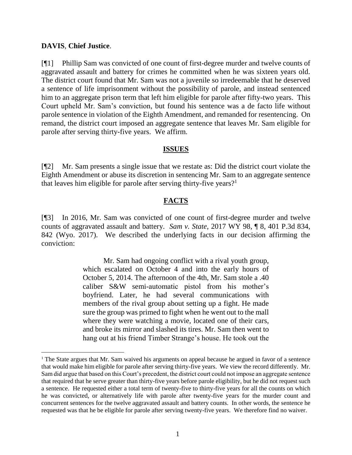# **DAVIS**, **Chief Justice**.

[¶1] Phillip Sam was convicted of one count of first-degree murder and twelve counts of aggravated assault and battery for crimes he committed when he was sixteen years old. The district court found that Mr. Sam was not a juvenile so irredeemable that he deserved a sentence of life imprisonment without the possibility of parole, and instead sentenced him to an aggregate prison term that left him eligible for parole after fifty-two years. This Court upheld Mr. Sam's conviction, but found his sentence was a de facto life without parole sentence in violation of the Eighth Amendment, and remanded for resentencing. On remand, the district court imposed an aggregate sentence that leaves Mr. Sam eligible for parole after serving thirty-five years. We affirm.

### **ISSUES**

[¶2] Mr. Sam presents a single issue that we restate as: Did the district court violate the Eighth Amendment or abuse its discretion in sentencing Mr. Sam to an aggregate sentence that leaves him eligible for parole after serving thirty-five years?<sup>1</sup>

# **FACTS**

[¶3] In 2016, Mr. Sam was convicted of one count of first-degree murder and twelve counts of aggravated assault and battery. *Sam v. State*, 2017 WY 98, ¶ 8, 401 P.3d 834, 842 (Wyo. 2017). We described the underlying facts in our decision affirming the conviction:

> Mr. Sam had ongoing conflict with a rival youth group, which escalated on October 4 and into the early hours of October 5, 2014. The afternoon of the 4th, Mr. Sam stole a .40 caliber S&W semi-automatic pistol from his mother's boyfriend. Later, he had several communications with members of the rival group about setting up a fight. He made sure the group was primed to fight when he went out to the mall where they were watching a movie, located one of their cars, and broke its mirror and slashed its tires. Mr. Sam then went to hang out at his friend Timber Strange's house. He took out the

<sup>&</sup>lt;sup>1</sup> The State argues that Mr. Sam waived his arguments on appeal because he argued in favor of a sentence that would make him eligible for parole after serving thirty-five years. We view the record differently. Mr. Sam did argue that based on this Court's precedent, the district court could not impose an aggregate sentence that required that he serve greater than thirty-five years before parole eligibility, but he did not request such a sentence. He requested either a total term of twenty-five to thirty-five years for all the counts on which he was convicted, or alternatively life with parole after twenty-five years for the murder count and concurrent sentences for the twelve aggravated assault and battery counts. In other words, the sentence he requested was that he be eligible for parole after serving twenty-five years. We therefore find no waiver.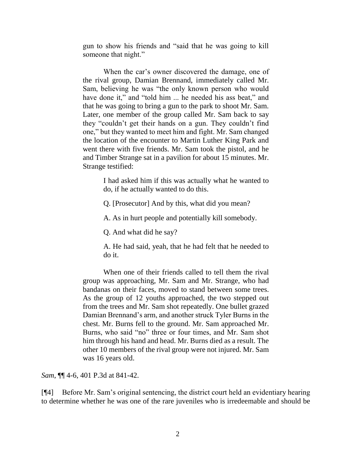gun to show his friends and "said that he was going to kill someone that night."

When the car's owner discovered the damage, one of the rival group, Damian Brennand, immediately called Mr. Sam, believing he was "the only known person who would have done it," and "told him ... he needed his ass beat," and that he was going to bring a gun to the park to shoot Mr. Sam. Later, one member of the group called Mr. Sam back to say they "couldn't get their hands on a gun. They couldn't find one," but they wanted to meet him and fight. Mr. Sam changed the location of the encounter to Martin Luther King Park and went there with five friends. Mr. Sam took the pistol, and he and Timber Strange sat in a pavilion for about 15 minutes. Mr. Strange testified:

> I had asked him if this was actually what he wanted to do, if he actually wanted to do this.

Q. [Prosecutor] And by this, what did you mean?

A. As in hurt people and potentially kill somebody.

Q. And what did he say?

A. He had said, yeah, that he had felt that he needed to do it.

When one of their friends called to tell them the rival group was approaching, Mr. Sam and Mr. Strange, who had bandanas on their faces, moved to stand between some trees. As the group of 12 youths approached, the two stepped out from the trees and Mr. Sam shot repeatedly. One bullet grazed Damian Brennand's arm, and another struck Tyler Burns in the chest. Mr. Burns fell to the ground. Mr. Sam approached Mr. Burns, who said "no" three or four times, and Mr. Sam shot him through his hand and head. Mr. Burns died as a result. The other 10 members of the rival group were not injured. Mr. Sam was 16 years old.

*Sam*, ¶¶ 4-6, 401 P.3d at 841-42.

[¶4] Before Mr. Sam's original sentencing, the district court held an evidentiary hearing to determine whether he was one of the rare juveniles who is irredeemable and should be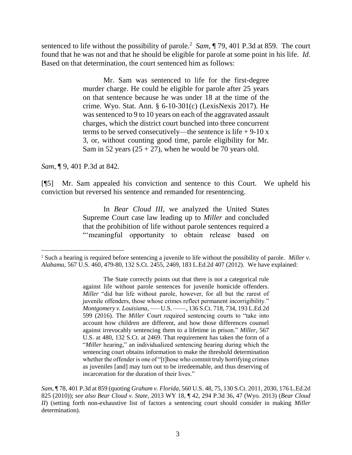sentenced to life without the possibility of parole.<sup>2</sup> Sam,  $\P$  79, 401 P.3d at 859. The court found that he was not and that he should be eligible for parole at some point in his life. *Id*. Based on that determination, the court sentenced him as follows:

> Mr. Sam was sentenced to life for the first-degree murder charge. He could be eligible for parole after 25 years on that sentence because he was under 18 at the time of the crime. [Wyo. Stat. Ann. § 6-10-301\(c\)](http://www.westlaw.com/Link/Document/FullText?findType=L&pubNum=1000377&cite=WYSTS6-10-301&originatingDoc=I61c234d0893c11e79e029b6011d84ab0&refType=SP&originationContext=document&vr=3.0&rs=cblt1.0&transitionType=DocumentItem&contextData=(sc.UserEnteredCitation)#co_pp_4b24000003ba5) (LexisNexis 2017). He was sentenced to 9 to 10 years on each of the aggravated assault charges, which the district court bunched into three concurrent terms to be served consecutively—the sentence is life  $+9-10x$ 3, or, without counting good time, parole eligibility for Mr. Sam in 52 years  $(25 + 27)$ , when he would be 70 years old.

*Sam*, ¶ 9, 401 P.3d at 842.

 $\overline{a}$ 

[¶5] Mr. Sam appealed his conviction and sentence to this Court. We upheld his conviction but reversed his sentence and remanded for resentencing.

> In *[Bear Cloud III](http://www.westlaw.com/Link/Document/FullText?findType=Y&serNum=2034313441&pubNum=0004645&originatingDoc=I61c234d0893c11e79e029b6011d84ab0&refType=RP&originationContext=document&vr=3.0&rs=cblt1.0&transitionType=DocumentItem&contextData=(sc.UserEnteredCitation))*, we analyzed the United States Supreme Court case law leading up to *[Miller](http://www.westlaw.com/Link/Document/FullText?findType=Y&serNum=2027964006&pubNum=0000708&originatingDoc=I61c234d0893c11e79e029b6011d84ab0&refType=RP&originationContext=document&vr=3.0&rs=cblt1.0&transitionType=DocumentItem&contextData=(sc.UserEnteredCitation))* and concluded that the prohibition of life without parole sentences required a "'meaningful opportunity to obtain release based on

<sup>2</sup> Such a hearing is required before sentencing a juvenile to life without the possibility of parole. *[Miller v.](http://www.westlaw.com/Link/Document/FullText?findType=Y&serNum=2027964006&pubNum=0000708&originatingDoc=I61c234d0893c11e79e029b6011d84ab0&refType=RP&originationContext=document&vr=3.0&rs=cblt1.0&transitionType=DocumentItem&contextData=(sc.UserEnteredCitation))  Alabama*[, 567 U.S. 460, 479-80, 132 S.Ct. 2455, 2469, 183 L.Ed.2d 407 \(2012\).](http://www.westlaw.com/Link/Document/FullText?findType=Y&serNum=2027964006&pubNum=0000708&originatingDoc=I61c234d0893c11e79e029b6011d84ab0&refType=RP&originationContext=document&vr=3.0&rs=cblt1.0&transitionType=DocumentItem&contextData=(sc.UserEnteredCitation)) We have explained:

The State correctly points out that there is not a categorical rule against life without parole sentences for juvenile homicide offenders. *[Miller](http://www.westlaw.com/Link/Document/FullText?findType=Y&serNum=2027964006&pubNum=0000708&originatingDoc=I61c234d0893c11e79e029b6011d84ab0&refType=RP&originationContext=document&vr=3.0&rs=cblt1.0&transitionType=DocumentItem&contextData=(sc.UserEnteredCitation))* "did bar life without parole, however, for all but the rarest of juvenile offenders, those whose crimes reflect permanent incorrigibility." *Montgomery v. Louisiana*, ––– [U.S. ––––, 136 S.Ct. 718, 734, 193 L.Ed.2d](http://www.westlaw.com/Link/Document/FullText?findType=Y&serNum=2038150528&pubNum=0000708&originatingDoc=I61c234d0893c11e79e029b6011d84ab0&refType=RP&fi=co_pp_sp_708_734&originationContext=document&vr=3.0&rs=cblt1.0&transitionType=DocumentItem&contextData=(sc.UserEnteredCitation)#co_pp_sp_708_734)  [599 \(2016\).](http://www.westlaw.com/Link/Document/FullText?findType=Y&serNum=2038150528&pubNum=0000708&originatingDoc=I61c234d0893c11e79e029b6011d84ab0&refType=RP&fi=co_pp_sp_708_734&originationContext=document&vr=3.0&rs=cblt1.0&transitionType=DocumentItem&contextData=(sc.UserEnteredCitation)#co_pp_sp_708_734) The *[Miller](http://www.westlaw.com/Link/Document/FullText?findType=Y&serNum=2027964006&pubNum=0000708&originatingDoc=I61c234d0893c11e79e029b6011d84ab0&refType=RP&originationContext=document&vr=3.0&rs=cblt1.0&transitionType=DocumentItem&contextData=(sc.UserEnteredCitation))* Court required sentencing courts to "take into account how children are different, and how those differences counsel against irrevocably sentencing them to a lifetime in prison." *[Miller](http://www.westlaw.com/Link/Document/FullText?findType=Y&serNum=2027964006&pubNum=0000708&originatingDoc=I61c234d0893c11e79e029b6011d84ab0&refType=RP&fi=co_pp_sp_708_2469&originationContext=document&vr=3.0&rs=cblt1.0&transitionType=DocumentItem&contextData=(sc.UserEnteredCitation)#co_pp_sp_708_2469)*, 567 [U.S. at 480, 132 S.Ct. at 2469.](http://www.westlaw.com/Link/Document/FullText?findType=Y&serNum=2027964006&pubNum=0000708&originatingDoc=I61c234d0893c11e79e029b6011d84ab0&refType=RP&fi=co_pp_sp_708_2469&originationContext=document&vr=3.0&rs=cblt1.0&transitionType=DocumentItem&contextData=(sc.UserEnteredCitation)#co_pp_sp_708_2469) That requirement has taken the form of a "*[Miller](http://www.westlaw.com/Link/Document/FullText?findType=Y&serNum=2027964006&pubNum=0000708&originatingDoc=I61c234d0893c11e79e029b6011d84ab0&refType=RP&originationContext=document&vr=3.0&rs=cblt1.0&transitionType=DocumentItem&contextData=(sc.UserEnteredCitation))* hearing," an individualized sentencing hearing during which the sentencing court obtains information to make the threshold determination whether the offender is one of "[t]hose who commit truly horrifying crimes as juveniles [and] may turn out to be irredeemable, and thus deserving of incarceration for the duration of their lives."

*Sam*, ¶ 78, 401 P.3d at 859 (quoting *Graham v. Florida*[, 560 U.S. 48, 75, 130 S.Ct. 2011, 2030, 176 L.Ed.2d](http://www.westlaw.com/Link/Document/FullText?findType=Y&serNum=2022052221&pubNum=0000780&originatingDoc=I61c234d0893c11e79e029b6011d84ab0&refType=RP&fi=co_pp_sp_780_74&originationContext=document&vr=3.0&rs=cblt1.0&transitionType=DocumentItem&contextData=(sc.UserEnteredCitation)#co_pp_sp_780_74)  [825 \(2010\)\)](http://www.westlaw.com/Link/Document/FullText?findType=Y&serNum=2022052221&pubNum=0000780&originatingDoc=I61c234d0893c11e79e029b6011d84ab0&refType=RP&fi=co_pp_sp_780_74&originationContext=document&vr=3.0&rs=cblt1.0&transitionType=DocumentItem&contextData=(sc.UserEnteredCitation)#co_pp_sp_780_74); *see also Bear Cloud v. State*[, 2013 WY 18, ¶ 42, 294 P.3d 36, 47 \(Wyo. 2013\)](http://www.westlaw.com/Link/Document/FullText?findType=Y&serNum=2029819209&pubNum=0004645&originatingDoc=I61c234d0893c11e79e029b6011d84ab0&refType=RP&fi=co_pp_sp_4645_47&originationContext=document&vr=3.0&rs=cblt1.0&transitionType=DocumentItem&contextData=(sc.UserEnteredCitation)#co_pp_sp_4645_47) (*Bear Cloud II*) (setting forth non-exhaustive list of factors a sentencing court should consider in making *[Miller](http://www.westlaw.com/Link/Document/FullText?findType=Y&serNum=2027964006&pubNum=0000708&originatingDoc=I61c234d0893c11e79e029b6011d84ab0&refType=RP&originationContext=document&vr=3.0&rs=cblt1.0&transitionType=DocumentItem&contextData=(sc.UserEnteredCitation))* determination).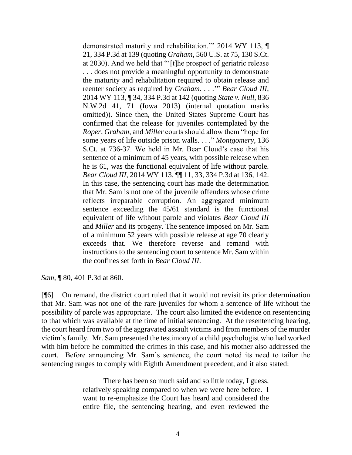demonstrated maturity and rehabilitation.'" [2014 WY 113, ¶](http://www.westlaw.com/Link/Document/FullText?findType=Y&serNum=2034313441&pubNum=0004645&originatingDoc=I61c234d0893c11e79e029b6011d84ab0&refType=RP&fi=co_pp_sp_4645_139&originationContext=document&vr=3.0&rs=cblt1.0&transitionType=DocumentItem&contextData=(sc.UserEnteredCitation)#co_pp_sp_4645_139)  [21, 334 P.3d at 139](http://www.westlaw.com/Link/Document/FullText?findType=Y&serNum=2034313441&pubNum=0004645&originatingDoc=I61c234d0893c11e79e029b6011d84ab0&refType=RP&fi=co_pp_sp_4645_139&originationContext=document&vr=3.0&rs=cblt1.0&transitionType=DocumentItem&contextData=(sc.UserEnteredCitation)#co_pp_sp_4645_139) (quoting *Graham*[, 560 U.S. at 75, 130 S.Ct.](http://www.westlaw.com/Link/Document/FullText?findType=Y&serNum=2022052221&pubNum=0000708&originatingDoc=I61c234d0893c11e79e029b6011d84ab0&refType=RP&fi=co_pp_sp_708_2030&originationContext=document&vr=3.0&rs=cblt1.0&transitionType=DocumentItem&contextData=(sc.UserEnteredCitation)#co_pp_sp_708_2030)  [at 2030\)](http://www.westlaw.com/Link/Document/FullText?findType=Y&serNum=2022052221&pubNum=0000708&originatingDoc=I61c234d0893c11e79e029b6011d84ab0&refType=RP&fi=co_pp_sp_708_2030&originationContext=document&vr=3.0&rs=cblt1.0&transitionType=DocumentItem&contextData=(sc.UserEnteredCitation)#co_pp_sp_708_2030). And we held that "'[t]he prospect of geriatric release . . . does not provide a meaningful opportunity to demonstrate the maturity and rehabilitation required to obtain release and reenter society as required by *[Graham](http://www.westlaw.com/Link/Document/FullText?findType=Y&serNum=2022052221&pubNum=0000708&originatingDoc=I61c234d0893c11e79e029b6011d84ab0&refType=RP&originationContext=document&vr=3.0&rs=cblt1.0&transitionType=DocumentItem&contextData=(sc.UserEnteredCitation))*. . . .'" *[Bear Cloud III](http://www.westlaw.com/Link/Document/FullText?findType=Y&serNum=2034313441&pubNum=0004645&originatingDoc=I61c234d0893c11e79e029b6011d84ab0&refType=RP&fi=co_pp_sp_4645_142&originationContext=document&vr=3.0&rs=cblt1.0&transitionType=DocumentItem&contextData=(sc.UserEnteredCitation)#co_pp_sp_4645_142)*, [2014 WY 113, ¶ 34, 334 P.3d at 142](http://www.westlaw.com/Link/Document/FullText?findType=Y&serNum=2034313441&pubNum=0004645&originatingDoc=I61c234d0893c11e79e029b6011d84ab0&refType=RP&fi=co_pp_sp_4645_142&originationContext=document&vr=3.0&rs=cblt1.0&transitionType=DocumentItem&contextData=(sc.UserEnteredCitation)#co_pp_sp_4645_142) (quoting *[State v. Null](http://www.westlaw.com/Link/Document/FullText?findType=Y&serNum=2031292632&pubNum=0000595&originatingDoc=I61c234d0893c11e79e029b6011d84ab0&refType=RP&fi=co_pp_sp_595_71&originationContext=document&vr=3.0&rs=cblt1.0&transitionType=DocumentItem&contextData=(sc.UserEnteredCitation)#co_pp_sp_595_71)*, 836 [N.W.2d 41, 71 \(Iowa 2013\)](http://www.westlaw.com/Link/Document/FullText?findType=Y&serNum=2031292632&pubNum=0000595&originatingDoc=I61c234d0893c11e79e029b6011d84ab0&refType=RP&fi=co_pp_sp_595_71&originationContext=document&vr=3.0&rs=cblt1.0&transitionType=DocumentItem&contextData=(sc.UserEnteredCitation)#co_pp_sp_595_71) (internal quotation marks omitted)). Since then, the United States Supreme Court has confirmed that the release for juveniles contemplated by the *Roper*, *[Graham](http://www.westlaw.com/Link/Document/FullText?findType=Y&serNum=2022052221&pubNum=0000708&originatingDoc=I61c234d0893c11e79e029b6011d84ab0&refType=RP&originationContext=document&vr=3.0&rs=cblt1.0&transitionType=DocumentItem&contextData=(sc.UserEnteredCitation))*, and *[Miller](http://www.westlaw.com/Link/Document/FullText?findType=Y&serNum=2027964006&pubNum=0000708&originatingDoc=I61c234d0893c11e79e029b6011d84ab0&refType=RP&originationContext=document&vr=3.0&rs=cblt1.0&transitionType=DocumentItem&contextData=(sc.UserEnteredCitation))* courts should allow them "hope for some years of life outside prison walls. . . ." *[Montgomery](http://www.westlaw.com/Link/Document/FullText?findType=Y&serNum=2038150528&pubNum=0000708&originatingDoc=I61c234d0893c11e79e029b6011d84ab0&refType=RP&fi=co_pp_sp_708_736&originationContext=document&vr=3.0&rs=cblt1.0&transitionType=DocumentItem&contextData=(sc.UserEnteredCitation)#co_pp_sp_708_736)*, 136 [S.Ct. at 736-37.](http://www.westlaw.com/Link/Document/FullText?findType=Y&serNum=2038150528&pubNum=0000708&originatingDoc=I61c234d0893c11e79e029b6011d84ab0&refType=RP&fi=co_pp_sp_708_736&originationContext=document&vr=3.0&rs=cblt1.0&transitionType=DocumentItem&contextData=(sc.UserEnteredCitation)#co_pp_sp_708_736) We held in Mr. Bear Cloud's case that his sentence of a minimum of 45 years, with possible release when he is 61, was the functional equivalent of life without parole. *Bear Cloud III*[, 2014 WY 113, ¶¶ 11, 33, 334 P.3d at 136, 142.](http://www.westlaw.com/Link/Document/FullText?findType=Y&serNum=2034313441&pubNum=0004645&originatingDoc=I61c234d0893c11e79e029b6011d84ab0&refType=RP&fi=co_pp_sp_4645_136&originationContext=document&vr=3.0&rs=cblt1.0&transitionType=DocumentItem&contextData=(sc.UserEnteredCitation)#co_pp_sp_4645_136) In this case, the sentencing court has made the determination that Mr. Sam is not one of the juvenile offenders whose crime reflects irreparable corruption. An aggregated minimum sentence exceeding the 45/61 standard is the functional equivalent of life without parole and violates *[Bear Cloud III](http://www.westlaw.com/Link/Document/FullText?findType=Y&serNum=2034313441&pubNum=0004645&originatingDoc=I61c234d0893c11e79e029b6011d84ab0&refType=RP&originationContext=document&vr=3.0&rs=cblt1.0&transitionType=DocumentItem&contextData=(sc.UserEnteredCitation))* and *[Miller](http://www.westlaw.com/Link/Document/FullText?findType=Y&serNum=2027964006&pubNum=0000708&originatingDoc=I61c234d0893c11e79e029b6011d84ab0&refType=RP&originationContext=document&vr=3.0&rs=cblt1.0&transitionType=DocumentItem&contextData=(sc.UserEnteredCitation))* and its progeny. The sentence imposed on Mr. Sam of a minimum 52 years with possible release at age 70 clearly exceeds that. We therefore reverse and remand with instructions to the sentencing court to sentence Mr. Sam within the confines set forth in *[Bear Cloud III](http://www.westlaw.com/Link/Document/FullText?findType=Y&serNum=2034313441&pubNum=0004645&originatingDoc=I61c234d0893c11e79e029b6011d84ab0&refType=RP&originationContext=document&vr=3.0&rs=cblt1.0&transitionType=DocumentItem&contextData=(sc.UserEnteredCitation))*.

*Sam*, ¶ 80, 401 P.3d at 860.

[¶6] On remand, the district court ruled that it would not revisit its prior determination that Mr. Sam was not one of the rare juveniles for whom a sentence of life without the possibility of parole was appropriate. The court also limited the evidence on resentencing to that which was available at the time of initial sentencing. At the resentencing hearing, the court heard from two of the aggravated assault victims and from members of the murder victim's family. Mr. Sam presented the testimony of a child psychologist who had worked with him before he committed the crimes in this case, and his mother also addressed the court. Before announcing Mr. Sam's sentence, the court noted its need to tailor the sentencing ranges to comply with Eighth Amendment precedent, and it also stated:

> There has been so much said and so little today, I guess, relatively speaking compared to when we were here before. I want to re-emphasize the Court has heard and considered the entire file, the sentencing hearing, and even reviewed the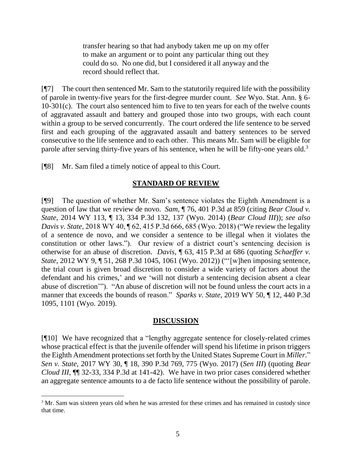transfer hearing so that had anybody taken me up on my offer to make an argument or to point any particular thing out they could do so. No one did, but I considered it all anyway and the record should reflect that.

 $[$ [ $\degree$ ] The court then sentenced Mr. Sam to the statutorily required life with the possibility of parole in twenty-five years for the first-degree murder count. *See* Wyo. Stat. Ann. § 6- 10-301(c). The court also sentenced him to five to ten years for each of the twelve counts of aggravated assault and battery and grouped those into two groups, with each count within a group to be served concurrently. The court ordered the life sentence to be served first and each grouping of the aggravated assault and battery sentences to be served consecutive to the life sentence and to each other. This means Mr. Sam will be eligible for parole after serving thirty-five years of his sentence, when he will be fifty-one years old.<sup>3</sup>

[¶8] Mr. Sam filed a timely notice of appeal to this Court.

l

# **STANDARD OF REVIEW**

[¶9] The question of whether Mr. Sam's sentence violates the Eighth Amendment is a question of law that we review de novo. *Sam*, ¶ 76, 401 P.3d at 859 (citing *Bear Cloud v. State*, 2014 WY 113, ¶ 13, 334 P.3d 132, 137 (Wyo. 2014) (*Bear Cloud III*)); *see also Davis v. State*, 2018 WY 40, ¶ 62, 415 P.3d 666, 685 (Wyo. 2018) ("We review the legality of a sentence de novo, and we consider a sentence to be illegal when it violates the constitution or other laws."). Our review of a district court's sentencing decision is otherwise for an abuse of discretion. *Davis*, ¶ 63, 415 P.3d at 686 (quoting *[Schaeffer v.](http://www.westlaw.com/Link/Document/FullText?findType=Y&serNum=2026899623&pubNum=0004645&originatingDoc=I6a012f703f7b11e884b4b523d54ea998&refType=RP&fi=co_pp_sp_4645_1061&originationContext=document&vr=3.0&rs=cblt1.0&transitionType=DocumentItem&contextData=(sc.Keycite)#co_pp_sp_4645_1061)  State*[, 2012 WY 9, ¶ 51, 268 P.3d 1045, 1061 \(Wyo. 2012\)\)](http://www.westlaw.com/Link/Document/FullText?findType=Y&serNum=2026899623&pubNum=0004645&originatingDoc=I6a012f703f7b11e884b4b523d54ea998&refType=RP&fi=co_pp_sp_4645_1061&originationContext=document&vr=3.0&rs=cblt1.0&transitionType=DocumentItem&contextData=(sc.Keycite)#co_pp_sp_4645_1061) ("'[w]hen imposing sentence, the trial court is given broad discretion to consider a wide variety of factors about the defendant and his crimes,' and we 'will not disturb a sentencing decision absent a clear abuse of discretion'"). "An abuse of discretion will not be found unless the court acts in a manner that exceeds the bounds of reason." *Sparks v. State*, 2019 WY 50, ¶ 12, 440 P.3d 1095, 1101 (Wyo. 2019).

### **DISCUSSION**

[¶10] We have recognized that a "lengthy aggregate sentence for closely-related crimes whose practical effect is that the juvenile offender will spend his lifetime in prison triggers the Eighth Amendment protections set forth by the United States Supreme Court in *[Miller](http://www.westlaw.com/Link/Document/FullText?findType=Y&serNum=2027964006&pubNum=0000708&originatingDoc=I7fc9c300056e11e79a9296e6a6f4a986&refType=RP&originationContext=document&vr=3.0&rs=cblt1.0&transitionType=DocumentItem&contextData=(sc.History*oc.Keycite))*." *Sen v. State*, 2017 WY 30, ¶ 18, 390 P.3d 769, 775 (Wyo. 2017) (*Sen III*) (quoting *[Bear](http://www.westlaw.com/Link/Document/FullText?findType=Y&serNum=2034313441&pubNum=0004645&originatingDoc=I7fc9c300056e11e79a9296e6a6f4a986&refType=RP&fi=co_pp_sp_4645_141&originationContext=document&vr=3.0&rs=cblt1.0&transitionType=DocumentItem&contextData=(sc.History*oc.Keycite)#co_pp_sp_4645_141)  Cloud III*[, ¶¶ 32-33, 334 P.3d at 141-42\)](http://www.westlaw.com/Link/Document/FullText?findType=Y&serNum=2034313441&pubNum=0004645&originatingDoc=I7fc9c300056e11e79a9296e6a6f4a986&refType=RP&fi=co_pp_sp_4645_141&originationContext=document&vr=3.0&rs=cblt1.0&transitionType=DocumentItem&contextData=(sc.History*oc.Keycite)#co_pp_sp_4645_141). We have in two prior cases considered whether an aggregate sentence amounts to a de facto life sentence without the possibility of parole.

<sup>&</sup>lt;sup>3</sup> Mr. Sam was sixteen years old when he was arrested for these crimes and has remained in custody since that time.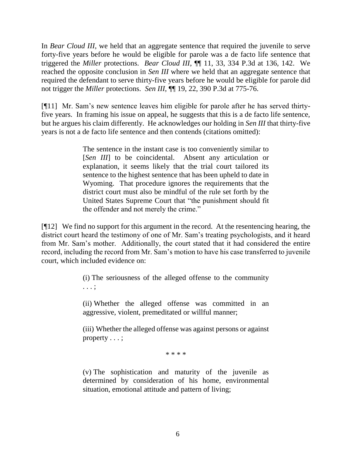In *Bear Cloud III*, we held that an aggregate sentence that required the juvenile to serve forty-five years before he would be eligible for parole was a de facto life sentence that triggered the *Miller* protections. *Bear Cloud III*, ¶¶ 11, 33, 334 P.3d at 136, 142. We reached the opposite conclusion in *Sen III* where we held that an aggregate sentence that required the defendant to serve thirty-five years before he would be eligible for parole did not trigger the *Miller* protections. *Sen III*, ¶¶ 19, 22, 390 P.3d at 775-76.

[¶11] Mr. Sam's new sentence leaves him eligible for parole after he has served thirtyfive years. In framing his issue on appeal, he suggests that this is a de facto life sentence, but he argues his claim differently. He acknowledges our holding in *Sen III* that thirty-five years is not a de facto life sentence and then contends (citations omitted):

> The sentence in the instant case is too conveniently similar to [*Sen III*] to be coincidental. Absent any articulation or explanation, it seems likely that the trial court tailored its sentence to the highest sentence that has been upheld to date in Wyoming. That procedure ignores the requirements that the district court must also be mindful of the rule set forth by the United States Supreme Court that "the punishment should fit the offender and not merely the crime."

[¶12] We find no support for this argument in the record. At the resentencing hearing, the district court heard the testimony of one of Mr. Sam's treating psychologists, and it heard from Mr. Sam's mother. Additionally, the court stated that it had considered the entire record, including the record from Mr. Sam's motion to have his case transferred to juvenile court, which included evidence on:

> (i) The seriousness of the alleged offense to the community . . . ;

> (ii) Whether the alleged offense was committed in an aggressive, violent, premeditated or willful manner;

> (iii) Whether the alleged offense was against persons or against property . . . ;

> > \* \* \* \*

(v) The sophistication and maturity of the juvenile as determined by consideration of his home, environmental situation, emotional attitude and pattern of living;